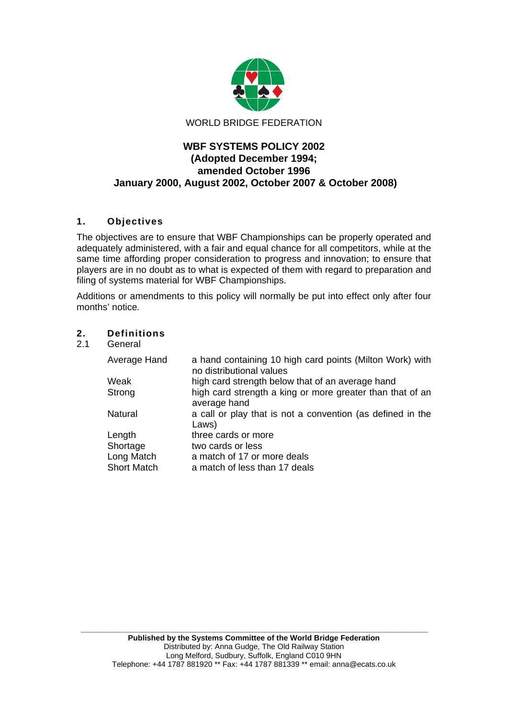

# **WBF SYSTEMS POLICY 2002 (Adopted December 1994; amended October 1996 January 2000, August 2002, October 2007 & October 2008)**

# **1. Objectives**

The objectives are to ensure that WBF Championships can be properly operated and adequately administered, with a fair and equal chance for all competitors, while at the same time affording proper consideration to progress and innovation; to ensure that players are in no doubt as to what is expected of them with regard to preparation and filing of systems material for WBF Championships.

Additions or amendments to this policy will normally be put into effect only after four months' notice*.*

# **2. Definitions**

**General** 

| Average Hand       | a hand containing 10 high card points (Milton Work) with<br>no distributional values |
|--------------------|--------------------------------------------------------------------------------------|
| Weak               | high card strength below that of an average hand                                     |
| Strong             | high card strength a king or more greater than that of an<br>average hand            |
| Natural            | a call or play that is not a convention (as defined in the<br>Laws)                  |
| Length             | three cards or more                                                                  |
| Shortage           | two cards or less                                                                    |
| Long Match         | a match of 17 or more deals                                                          |
| <b>Short Match</b> | a match of less than 17 deals                                                        |

 **\_\_\_\_\_\_\_\_\_\_\_\_\_\_\_\_\_\_\_\_\_\_\_\_\_\_\_\_\_\_\_\_\_\_\_\_\_\_\_\_\_\_\_\_\_\_\_\_\_\_\_\_\_\_\_\_\_\_\_\_\_\_\_\_\_\_\_\_\_\_\_\_\_**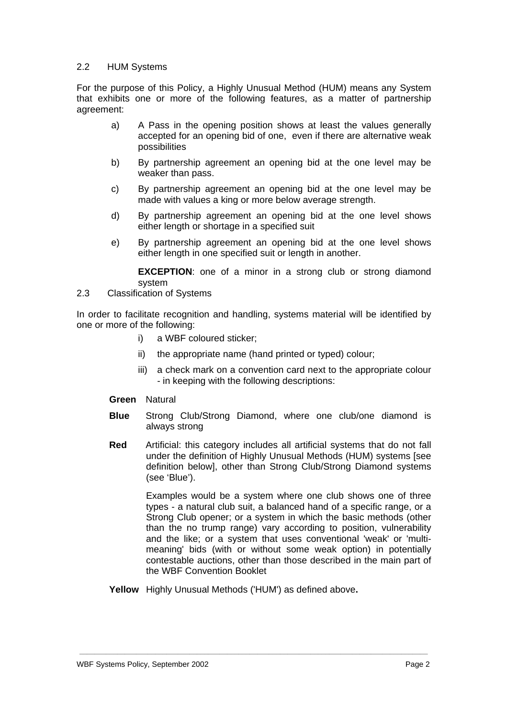## 2.2 HUM Systems

For the purpose of this Policy, a Highly Unusual Method (HUM) means any System that exhibits one or more of the following features, as a matter of partnership agreement:

- a) A Pass in the opening position shows at least the values generally accepted for an opening bid of one, even if there are alternative weak possibilities
- b) By partnership agreement an opening bid at the one level may be weaker than pass.
- c) By partnership agreement an opening bid at the one level may be made with values a king or more below average strength.
- d) By partnership agreement an opening bid at the one level shows either length or shortage in a specified suit
- e) By partnership agreement an opening bid at the one level shows either length in one specified suit or length in another.

**EXCEPTION:** one of a minor in a strong club or strong diamond system

2.3 Classification of Systems

In order to facilitate recognition and handling, systems material will be identified by one or more of the following:

- i) a WBF coloured sticker;
- ii) the appropriate name (hand printed or typed) colour;
- iii) a check mark on a convention card next to the appropriate colour - in keeping with the following descriptions:
- **Green** Natural
- **Blue** Strong Club/Strong Diamond, where one club/one diamond is always strong
- **Red** Artificial: this category includes all artificial systems that do not fall under the definition of Highly Unusual Methods (HUM) systems [see definition below], other than Strong Club/Strong Diamond systems (see 'Blue').

Examples would be a system where one club shows one of three types - a natural club suit, a balanced hand of a specific range, or a Strong Club opener; or a system in which the basic methods (other than the no trump range) vary according to position, vulnerability and the like; or a system that uses conventional 'weak' or 'multimeaning' bids (with or without some weak option) in potentially contestable auctions, other than those described in the main part of the WBF Convention Booklet

**Yellow** Highly Unusual Methods ('HUM') as defined above**.**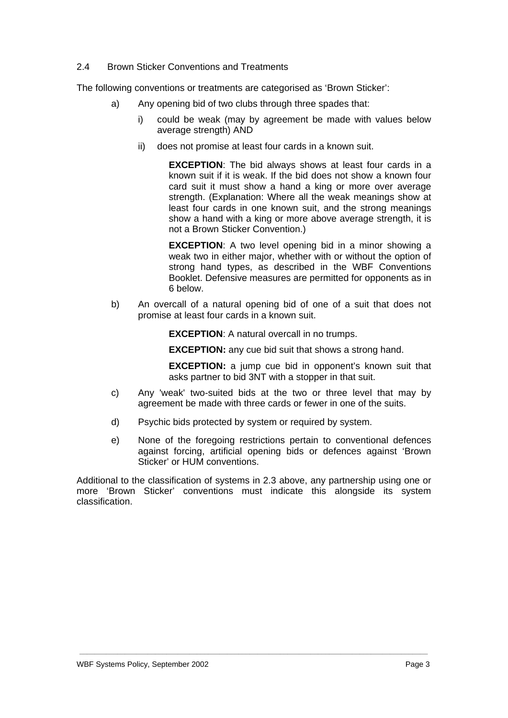## 2.4 Brown Sticker Conventions and Treatments

The following conventions or treatments are categorised as 'Brown Sticker':

- a) Any opening bid of two clubs through three spades that:
	- i) could be weak (may by agreement be made with values below average strength) AND
	- ii) does not promise at least four cards in a known suit.

**EXCEPTION**: The bid always shows at least four cards in a known suit if it is weak. If the bid does not show a known four card suit it must show a hand a king or more over average strength. (Explanation: Where all the weak meanings show at least four cards in one known suit, and the strong meanings show a hand with a king or more above average strength, it is not a Brown Sticker Convention.)

**EXCEPTION:** A two level opening bid in a minor showing a weak two in either major, whether with or without the option of strong hand types, as described in the WBF Conventions Booklet. Defensive measures are permitted for opponents as in 6 below.

b) An overcall of a natural opening bid of one of a suit that does not promise at least four cards in a known suit.

**EXCEPTION**: A natural overcall in no trumps.

**EXCEPTION:** any cue bid suit that shows a strong hand.

**EXCEPTION:** a jump cue bid in opponent's known suit that asks partner to bid 3NT with a stopper in that suit.

- c) Any 'weak' two-suited bids at the two or three level that may by agreement be made with three cards or fewer in one of the suits.
- d) Psychic bids protected by system or required by system.
- e) None of the foregoing restrictions pertain to conventional defences against forcing, artificial opening bids or defences against 'Brown Sticker' or HUM conventions.

Additional to the classification of systems in 2.3 above, any partnership using one or more 'Brown Sticker' conventions must indicate this alongside its system classification.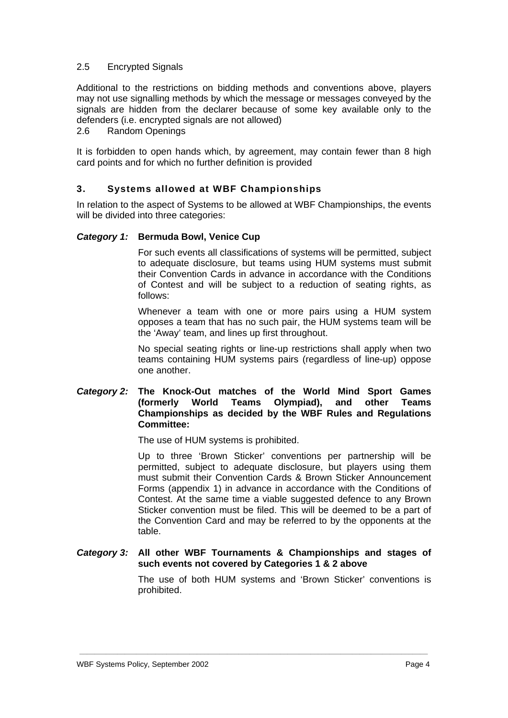## 2.5 Encrypted Signals

Additional to the restrictions on bidding methods and conventions above, players may not use signalling methods by which the message or messages conveyed by the signals are hidden from the declarer because of some key available only to the defenders (i.e. encrypted signals are not allowed)

2.6 Random Openings

It is forbidden to open hands which, by agreement, may contain fewer than 8 high card points and for which no further definition is provided

## **3. Systems allowed at WBF Championships**

In relation to the aspect of Systems to be allowed at WBF Championships, the events will be divided into three categories:

#### *Category 1:* **Bermuda Bowl, Venice Cup**

 For such events all classifications of systems will be permitted, subject to adequate disclosure, but teams using HUM systems must submit their Convention Cards in advance in accordance with the Conditions of Contest and will be subject to a reduction of seating rights, as follows:

 Whenever a team with one or more pairs using a HUM system opposes a team that has no such pair, the HUM systems team will be the 'Away' team, and lines up first throughout.

 No special seating rights or line-up restrictions shall apply when two teams containing HUM systems pairs (regardless of line-up) oppose one another.

## *Category 2:* **The Knock-Out matches of the World Mind Sport Games (formerly World Teams Olympiad), and other Teams Championships as decided by the WBF Rules and Regulations Committee:**

The use of HUM systems is prohibited.

 Up to three 'Brown Sticker' conventions per partnership will be permitted, subject to adequate disclosure, but players using them must submit their Convention Cards & Brown Sticker Announcement Forms (appendix 1) in advance in accordance with the Conditions of Contest. At the same time a viable suggested defence to any Brown Sticker convention must be filed. This will be deemed to be a part of the Convention Card and may be referred to by the opponents at the table.

#### *Category 3:* **All other WBF Tournaments & Championships and stages of such events not covered by Categories 1 & 2 above**

 **\_\_\_\_\_\_\_\_\_\_\_\_\_\_\_\_\_\_\_\_\_\_\_\_\_\_\_\_\_\_\_\_\_\_\_\_\_\_\_\_\_\_\_\_\_\_\_\_\_\_\_\_\_\_\_\_\_\_\_\_\_\_\_\_\_\_\_\_\_\_\_\_\_\_\_\_\_\_\_\_\_\_\_\_\_\_\_\_\_\_\_\_** 

 The use of both HUM systems and 'Brown Sticker' conventions is prohibited.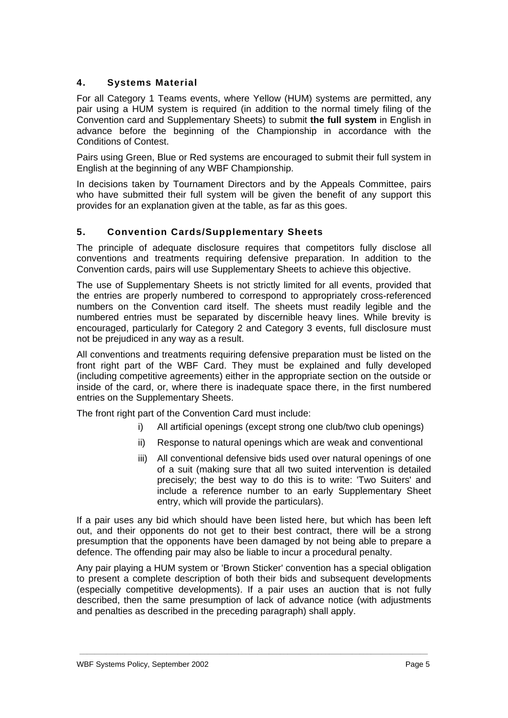# **4. Systems Material**

For all Category 1 Teams events, where Yellow (HUM) systems are permitted, any pair using a HUM system is required (in addition to the normal timely filing of the Convention card and Supplementary Sheets) to submit **the full system** in English in advance before the beginning of the Championship in accordance with the Conditions of Contest.

Pairs using Green, Blue or Red systems are encouraged to submit their full system in English at the beginning of any WBF Championship.

In decisions taken by Tournament Directors and by the Appeals Committee, pairs who have submitted their full system will be given the benefit of any support this provides for an explanation given at the table, as far as this goes.

# **5. Convention Cards/Supplementary Sheets**

The principle of adequate disclosure requires that competitors fully disclose all conventions and treatments requiring defensive preparation. In addition to the Convention cards, pairs will use Supplementary Sheets to achieve this objective.

The use of Supplementary Sheets is not strictly limited for all events, provided that the entries are properly numbered to correspond to appropriately cross-referenced numbers on the Convention card itself. The sheets must readily legible and the numbered entries must be separated by discernible heavy lines. While brevity is encouraged, particularly for Category 2 and Category 3 events, full disclosure must not be prejudiced in any way as a result.

All conventions and treatments requiring defensive preparation must be listed on the front right part of the WBF Card. They must be explained and fully developed (including competitive agreements) either in the appropriate section on the outside or inside of the card, or, where there is inadequate space there, in the first numbered entries on the Supplementary Sheets.

The front right part of the Convention Card must include:

- i) All artificial openings (except strong one club/two club openings)
- ii) Response to natural openings which are weak and conventional
- iii) All conventional defensive bids used over natural openings of one of a suit (making sure that all two suited intervention is detailed precisely; the best way to do this is to write: 'Two Suiters' and include a reference number to an early Supplementary Sheet entry, which will provide the particulars).

If a pair uses any bid which should have been listed here, but which has been left out, and their opponents do not get to their best contract, there will be a strong presumption that the opponents have been damaged by not being able to prepare a defence. The offending pair may also be liable to incur a procedural penalty.

Any pair playing a HUM system or 'Brown Sticker' convention has a special obligation to present a complete description of both their bids and subsequent developments (especially competitive developments). If a pair uses an auction that is not fully described, then the same presumption of lack of advance notice (with adjustments and penalties as described in the preceding paragraph) shall apply.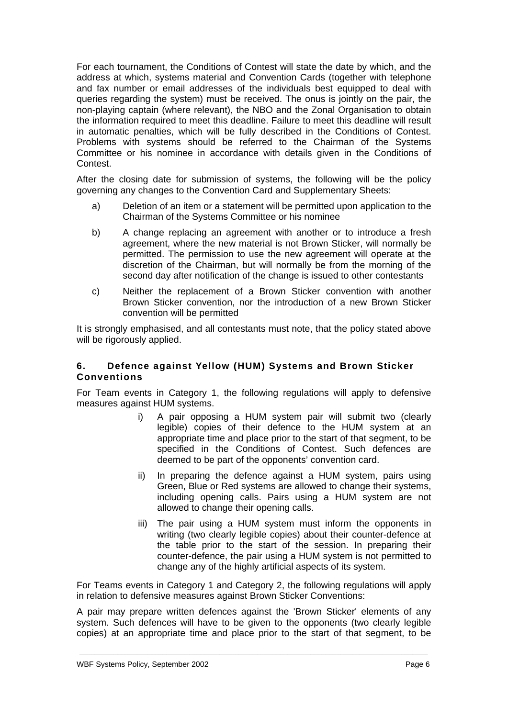For each tournament, the Conditions of Contest will state the date by which, and the address at which, systems material and Convention Cards (together with telephone and fax number or email addresses of the individuals best equipped to deal with queries regarding the system) must be received. The onus is jointly on the pair, the non-playing captain (where relevant), the NBO and the Zonal Organisation to obtain the information required to meet this deadline. Failure to meet this deadline will result in automatic penalties, which will be fully described in the Conditions of Contest. Problems with systems should be referred to the Chairman of the Systems Committee or his nominee in accordance with details given in the Conditions of Contest.

After the closing date for submission of systems, the following will be the policy governing any changes to the Convention Card and Supplementary Sheets:

- a) Deletion of an item or a statement will be permitted upon application to the Chairman of the Systems Committee or his nominee
- b) A change replacing an agreement with another or to introduce a fresh agreement, where the new material is not Brown Sticker, will normally be permitted. The permission to use the new agreement will operate at the discretion of the Chairman, but will normally be from the morning of the second day after notification of the change is issued to other contestants
- c) Neither the replacement of a Brown Sticker convention with another Brown Sticker convention, nor the introduction of a new Brown Sticker convention will be permitted

It is strongly emphasised, and all contestants must note, that the policy stated above will be rigorously applied.

## **6. Defence against Yellow (HUM) Systems and Brown Sticker Conventions**

For Team events in Category 1, the following regulations will apply to defensive measures against HUM systems.

- i) A pair opposing a HUM system pair will submit two (clearly legible) copies of their defence to the HUM system at an appropriate time and place prior to the start of that segment, to be specified in the Conditions of Contest. Such defences are deemed to be part of the opponents' convention card.
- ii) In preparing the defence against a HUM system, pairs using Green, Blue or Red systems are allowed to change their systems, including opening calls. Pairs using a HUM system are not allowed to change their opening calls.
- iii) The pair using a HUM system must inform the opponents in writing (two clearly legible copies) about their counter-defence at the table prior to the start of the session. In preparing their counter-defence, the pair using a HUM system is not permitted to change any of the highly artificial aspects of its system.

For Teams events in Category 1 and Category 2, the following regulations will apply in relation to defensive measures against Brown Sticker Conventions:

A pair may prepare written defences against the 'Brown Sticker' elements of any system. Such defences will have to be given to the opponents (two clearly legible copies) at an appropriate time and place prior to the start of that segment, to be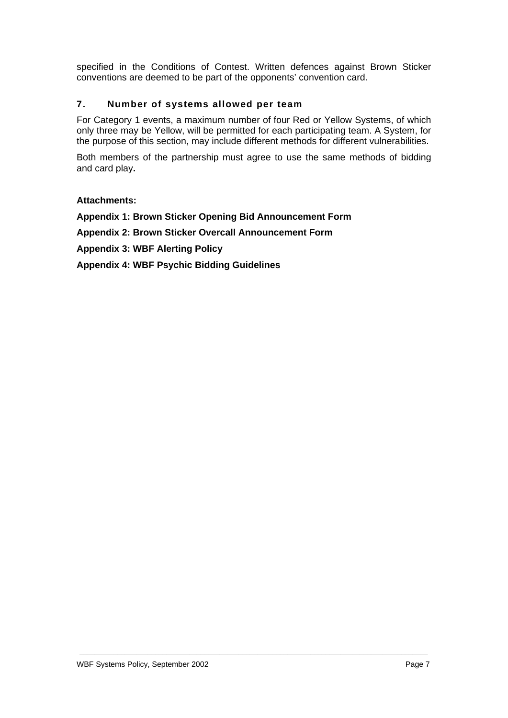specified in the Conditions of Contest. Written defences against Brown Sticker conventions are deemed to be part of the opponents' convention card.

## **7. Number of systems allowed per team**

For Category 1 events, a maximum number of four Red or Yellow Systems, of which only three may be Yellow, will be permitted for each participating team. A System, for the purpose of this section, may include different methods for different vulnerabilities.

Both members of the partnership must agree to use the same methods of bidding and card play**.** 

 **\_\_\_\_\_\_\_\_\_\_\_\_\_\_\_\_\_\_\_\_\_\_\_\_\_\_\_\_\_\_\_\_\_\_\_\_\_\_\_\_\_\_\_\_\_\_\_\_\_\_\_\_\_\_\_\_\_\_\_\_\_\_\_\_\_\_\_\_\_\_\_\_\_\_\_\_\_\_\_\_\_\_\_\_\_\_\_\_\_\_\_\_** 

#### **Attachments:**

**Appendix 1: Brown Sticker Opening Bid Announcement Form Appendix 2: Brown Sticker Overcall Announcement Form Appendix 3: WBF Alerting Policy Appendix 4: WBF Psychic Bidding Guidelines**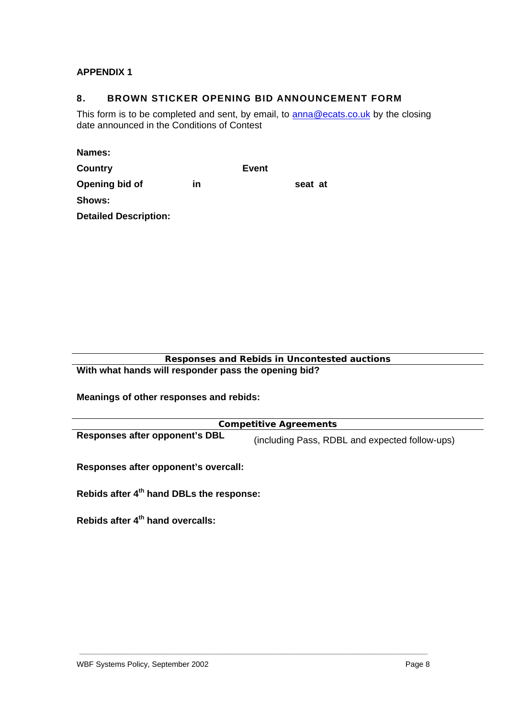# **APPENDIX 1**

## **8. BROWN STICKER OPENING BID ANNOUNCEMENT FORM**

This form is to be completed and sent, by email, to **anna@ecats.co.uk** by the closing date announced in the Conditions of Contest

| <b>Names:</b>                |    |       |         |
|------------------------------|----|-------|---------|
| Country                      |    | Event |         |
| Opening bid of               | in |       | seat at |
| Shows:                       |    |       |         |
| <b>Detailed Description:</b> |    |       |         |

**Responses and Rebids in Uncontested auctions With what hands will responder pass the opening bid?** 

**Meanings of other responses and rebids:**

| <b>Competitive Agreements</b>  |                                                |  |
|--------------------------------|------------------------------------------------|--|
| Responses after opponent's DBL | (including Pass, RDBL and expected follow-ups) |  |

 **\_\_\_\_\_\_\_\_\_\_\_\_\_\_\_\_\_\_\_\_\_\_\_\_\_\_\_\_\_\_\_\_\_\_\_\_\_\_\_\_\_\_\_\_\_\_\_\_\_\_\_\_\_\_\_\_\_\_\_\_\_\_\_\_\_\_\_\_\_\_\_\_\_\_\_\_\_\_\_\_\_\_\_\_\_\_\_\_\_\_\_\_** 

**Responses after opponent's overcall:** 

**Rebids after 4th hand DBLs the response:** 

**Rebids after 4th hand overcalls:**